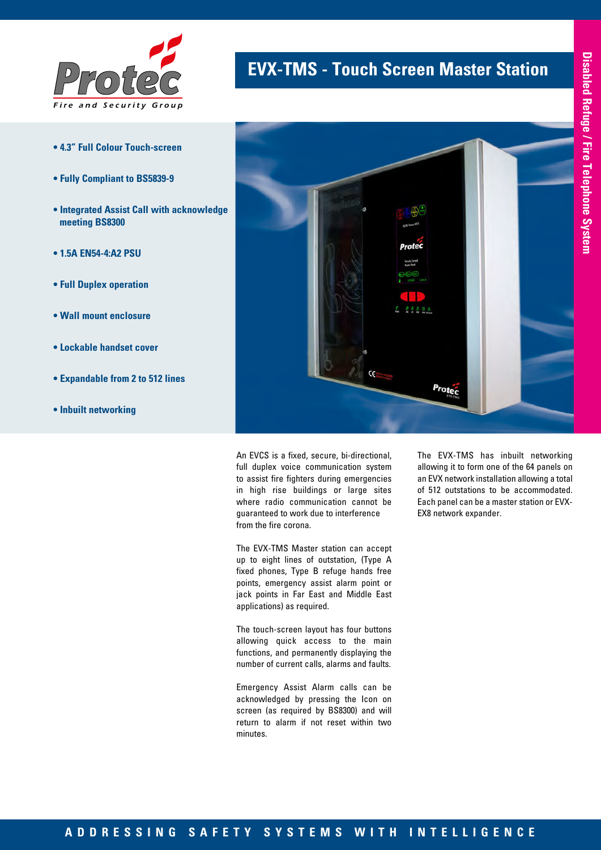

- **4.3" Full Colour Touch-screen**
- **Fully Compliant to BS5839-9**
- **Integrated Assist Call with acknowledge meeting BS8300**
- **1.5A EN54-4:A2 PSU**
- **Full Duplex operation**
- **Wall mount enclosure**
- **Lockable handset cover**
- **Expandable from 2 to 512 lines**
- **Inbuilt networking**

## **EVX-TMS - Touch Screen Master Station**



An EVCS is a fixed, secure, bi-directional, full duplex voice communication system to assist fire fighters during emergencies in high rise buildings or large sites where radio communication cannot be guaranteed to work due to interference from the fire corona.

The EVX-TMS Master station can accept up to eight lines of outstation, (Type A fixed phones, Type B refuge hands free points, emergency assist alarm point or jack points in Far East and Middle East applications) as required.

The touch-screen layout has four buttons allowing quick access to the main functions, and permanently displaying the number of current calls, alarms and faults.

Emergency Assist Alarm calls can be acknowledged by pressing the Icon on screen (as required by BS8300) and will return to alarm if not reset within two minutes.

The EVX-TMS has inbuilt networking allowing it to form one of the 64 panels on an EVX network installation allowing a total of 512 outstations to be accommodated. Each panel can be a master station or EVX-EX8 network expander.